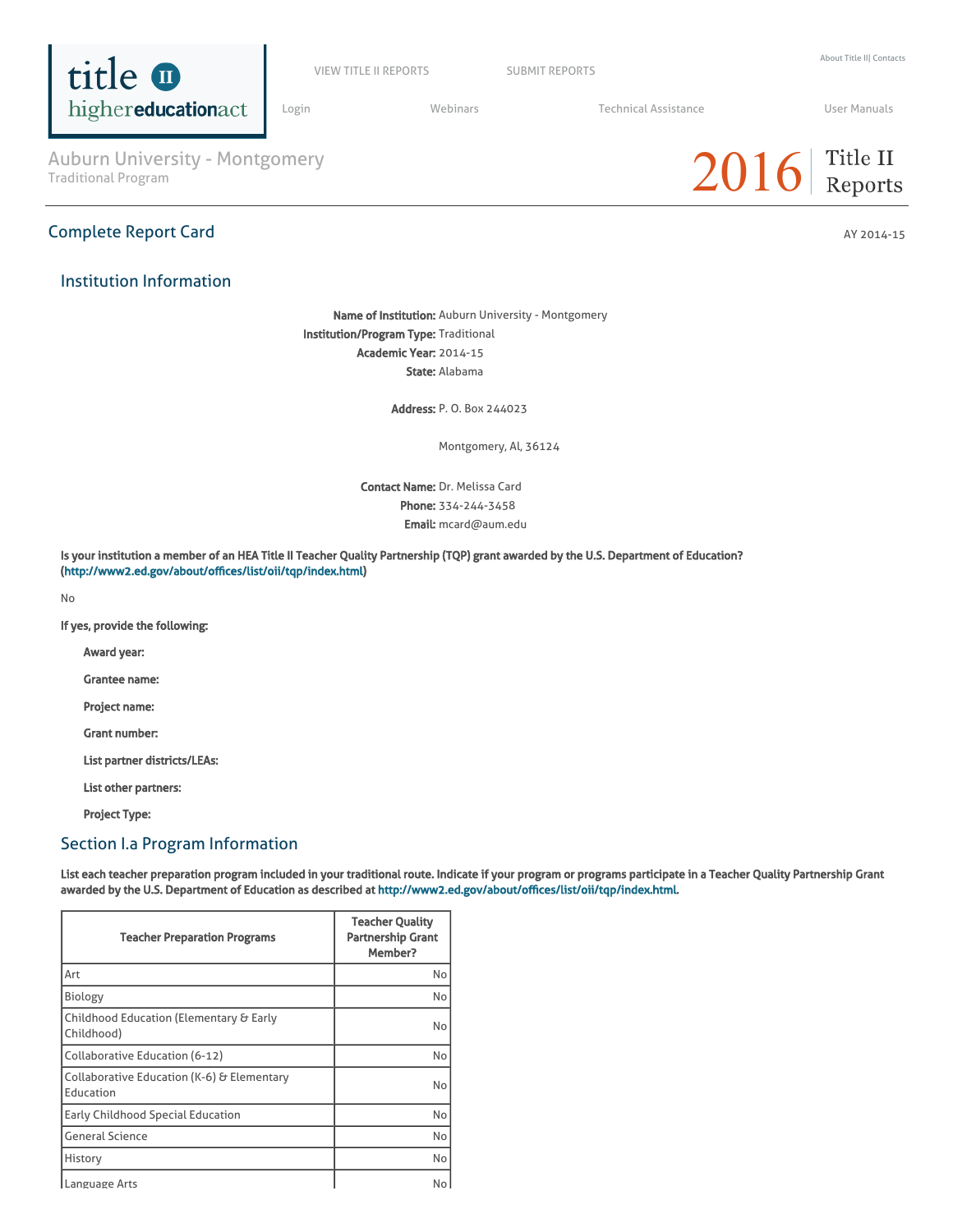

VIEW TITLE II [REPORTS](https://title2.ed.gov/Public/Login.aspx) SUBMIT REPORTS

[Login](https://title2.ed.gov/Public/Login.aspx) **Manual Medinars** Technical [Assistance](https://title2.ed.gov/Public/TA.aspx) **Technical Assistance** User [Manuals](https://title2.ed.gov/Public/Manuals.aspx)

 $2016$  Title II

Auburn University - Montgomery<br>Traditional Program

### Institution Information

Complete Report Card AY 2014-15

Name of Institution: Auburn University - Montgomery Institution/Program Type: Traditional Academic Year: 2014-15 State: Alabama

Address: P. O. Box 244023

Montgomery, Al, 36124

Contact Name: Dr. Melissa Card Phone: 334-244-3458 Email: mcard@aum.edu

Is your institution a member of an HEA Title II Teacher Quality Partnership (TQP) grant awarded by the U.S. Department of Education? (<http://www2.ed.gov/about/offices/list/oii/tqp/index.html>)

No

If yes, provide the following:

Award year:

Grantee name:

Project name:

Grant number:

List partner districts/LEAs:

List other partners:

Project Type:

### Section I.a Program Information

List each teacher preparation program included in your traditional route. Indicate if your program or programs participate in a Teacher Quality Partnership Grant awarded by the U.S. Department of Education as described at [http://www2.ed.gov/about/offices/list/oii/tqp/index.html.](http://www2.ed.gov/about/offices/list/oii/tqp/index.html)

| <b>Teacher Preparation Programs</b>                     | <b>Teacher Quality</b><br><b>Partnership Grant</b><br>Member? |
|---------------------------------------------------------|---------------------------------------------------------------|
| Art                                                     | No                                                            |
| Biology                                                 | No                                                            |
| Childhood Education (Elementary & Early<br>Childhood)   | No                                                            |
| Collaborative Education (6-12)                          | No                                                            |
| Collaborative Education (K-6) & Elementary<br>Education | No                                                            |
| Early Childhood Special Education                       | No                                                            |
| <b>General Science</b>                                  | No                                                            |
| History                                                 | No                                                            |
| Language Arts                                           | No                                                            |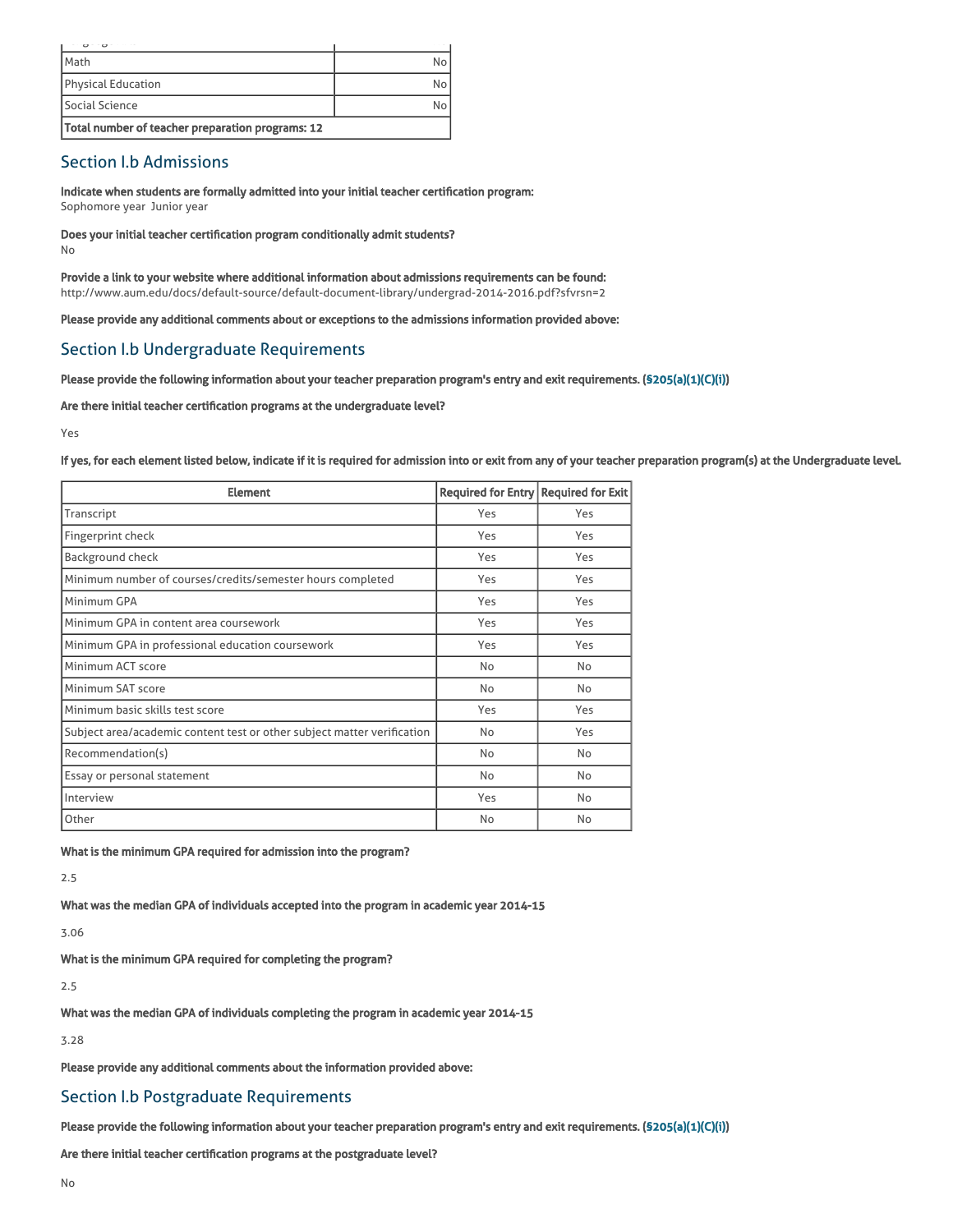| <b>I</b> Math                                    |    |
|--------------------------------------------------|----|
| Physical Education                               | No |
| Social Science                                   | No |
| Total number of teacher preparation programs: 12 |    |

# Section I.b Admissions

Indicate when students are formally admitted into your initial teacher certification program: Sophomore year Junior year

Does your initial teacher certification program conditionally admit students?

No

Provide a link to your website where additional information about admissions requirements can be found: http://www.aum.edu/docs/default-source/default-document-library/undergrad-2014-2016.pdf?sfvrsn=2

Please provide any additional comments about or exceptions to the admissions information provided above:

## Section I.b Undergraduate Requirements

Please provide the following information about your teacher preparation program's entry and exit requirements. [\(§205\(a\)\(1\)\(C\)\(i\)](http://frwebgate.access.gpo.gov/cgi-bin/getdoc.cgi?dbname=110_cong_public_laws&docid=f:publ315.110.pdf))

Are there initial teacher certification programs at the undergraduate level?

Yes

If yes, for each element listed below, indicate if it is required for admission into or exit from any of your teacher preparation program(s) at the Undergraduate level.

| <b>Element</b>                                                          | Required for Entry   Required for Exit |     |
|-------------------------------------------------------------------------|----------------------------------------|-----|
| Transcript                                                              | Yes                                    | Yes |
| Fingerprint check                                                       | Yes                                    | Yes |
| <b>Background check</b>                                                 | Yes                                    | Yes |
| Minimum number of courses/credits/semester hours completed              | Yes                                    | Yes |
| Minimum GPA                                                             | Yes                                    | Yes |
| Minimum GPA in content area coursework                                  | Yes                                    | Yes |
| Minimum GPA in professional education coursework                        | Yes                                    | Yes |
| Minimum ACT score                                                       | No                                     | No  |
| Minimum SAT score                                                       | No                                     | No  |
| Minimum basic skills test score                                         | Yes                                    | Yes |
| Subject area/academic content test or other subject matter verification | No                                     | Yes |
| Recommendation(s)                                                       | No                                     | No  |
| Essay or personal statement                                             | No                                     | No  |
| Interview                                                               | Yes                                    | No  |
| Other                                                                   | No                                     | No  |

What is the minimum GPA required for admission into the program?

2.5

What was the median GPA of individuals accepted into the program in academic year 2014-15

3.06

What is the minimum GPA required for completing the program?

2.5

What was the median GPA of individuals completing the program in academic year 2014-15

3.28

Please provide any additional comments about the information provided above:

## Section I.b Postgraduate Requirements

Please provide the following information about your teacher preparation program's entry and exit requirements. [\(§205\(a\)\(1\)\(C\)\(i\)](http://frwebgate.access.gpo.gov/cgi-bin/getdoc.cgi?dbname=110_cong_public_laws&docid=f:publ315.110.pdf))

Are there initial teacher certification programs at the postgraduate level?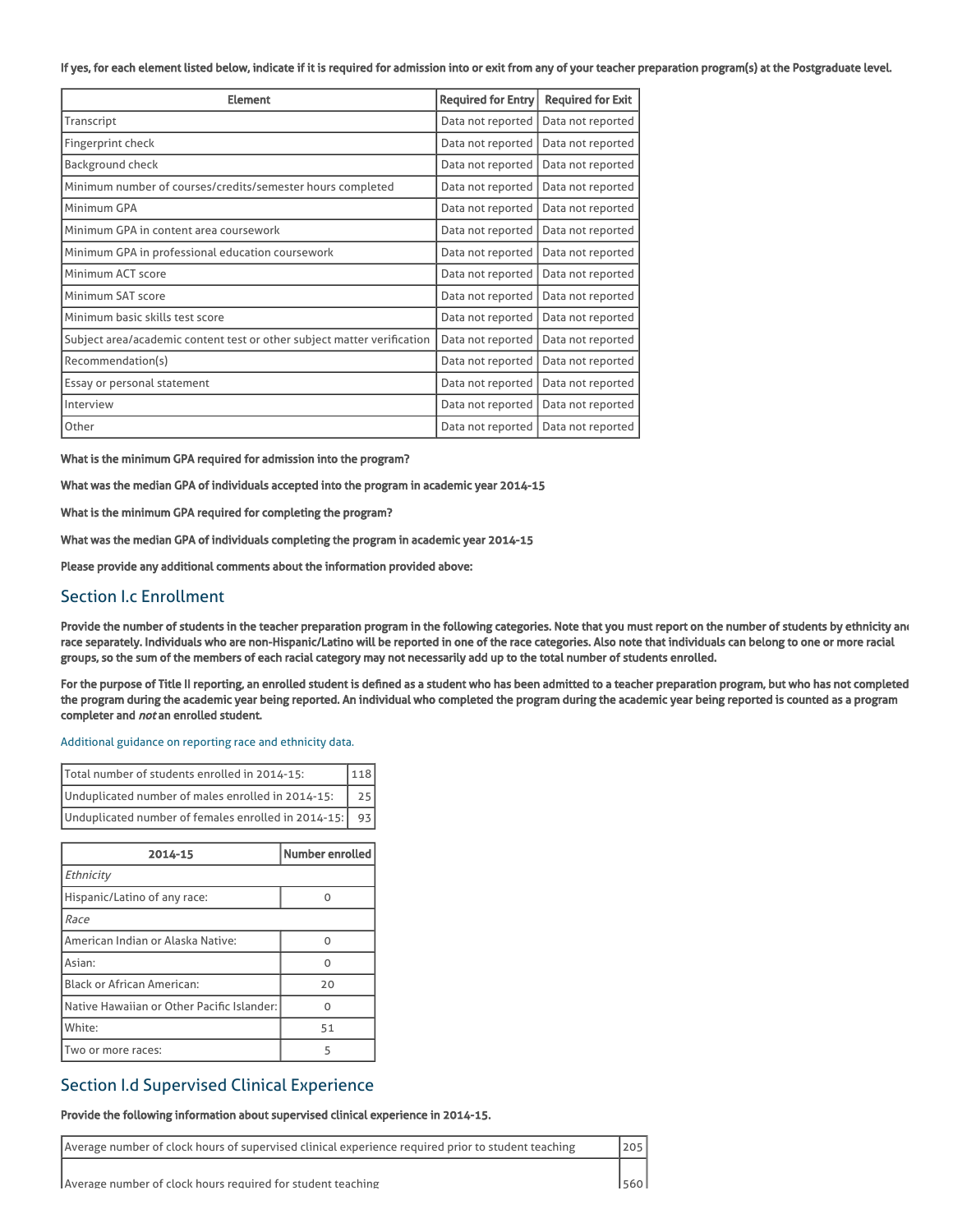#### If yes, for each element listed below, indicate if it is required for admission into or exit from any of your teacher preparation program(s) at the Postgraduate level.

| <b>Element</b>                                                          | <b>Required for Entry</b> | <b>Required for Exit</b> |
|-------------------------------------------------------------------------|---------------------------|--------------------------|
| Transcript                                                              | Data not reported         | Data not reported        |
| Fingerprint check                                                       | Data not reported         | Data not reported        |
| <b>Background check</b>                                                 | Data not reported         | Data not reported        |
| Minimum number of courses/credits/semester hours completed              | Data not reported         | Data not reported        |
| Minimum GPA                                                             | Data not reported         | Data not reported        |
| Minimum GPA in content area coursework                                  | Data not reported         | Data not reported        |
| Minimum GPA in professional education coursework                        | Data not reported         | Data not reported        |
| Minimum ACT score                                                       | Data not reported         | Data not reported        |
| Minimum SAT score                                                       | Data not reported         | Data not reported        |
| Minimum basic skills test score                                         | Data not reported         | Data not reported        |
| Subject area/academic content test or other subject matter verification | Data not reported         | Data not reported        |
| Recommendation(s)                                                       | Data not reported         | Data not reported        |
| Essay or personal statement                                             | Data not reported         | Data not reported        |
| Interview                                                               | Data not reported         | Data not reported        |
| Other                                                                   | Data not reported         | Data not reported        |

What is the minimum GPA required for admission into the program?

What was the median GPA of individuals accepted into the program in academic year 2014-15

What is the minimum GPA required for completing the program?

What was the median GPA of individuals completing the program in academic year 2014-15

Please provide any additional comments about the information provided above:

### Section I.c Enrollment

Provide the number of students in the teacher preparation program in the following categories. Note that you must report on the number of students by ethnicity and race separately. Individuals who are non-Hispanic/Latino will be reported in one of the race categories. Also note that individuals can belong to one or more racial groups, so the sum of the members of each racial category may not necessarily add up to the total number of students enrolled.

For the purpose of Title II reporting, an enrolled student is defined as a student who has been admitted to a teacher preparation program, but who has not completed the program during the academic year being reported. An individual who completed the program during the academic year being reported is counted as a program completer and not an enrolled student.

#### [Additional](https://title2.ed.gov/Public/TA/Race_ethnicity.pdf) guidance on reporting race and ethnicity data.

| Total number of students enrolled in 2014-15:       | 118             |
|-----------------------------------------------------|-----------------|
| Unduplicated number of males enrolled in 2014-15:   | 25 <sub>1</sub> |
| Unduplicated number of females enrolled in 2014-15: | 931             |

| 2014-15                                    | Number enrolled |
|--------------------------------------------|-----------------|
| Ethnicity                                  |                 |
| Hispanic/Latino of any race:               | n               |
| Race                                       |                 |
| American Indian or Alaska Native:          | U               |
| Asian:                                     | n               |
| <b>Black or African American:</b>          | 20              |
| Native Hawaiian or Other Pacific Islander: |                 |
| White:                                     | 51              |
| Two or more races:                         | 5               |

### Section I.d Supervised Clinical Experience

#### Provide the following information about supervised clinical experience in 2014-15.

| Average number of clock hours of supervised clinical experience required prior to student teaching | 1205   |
|----------------------------------------------------------------------------------------------------|--------|
| Average number of clock hours required for student teaching                                        | 1560 L |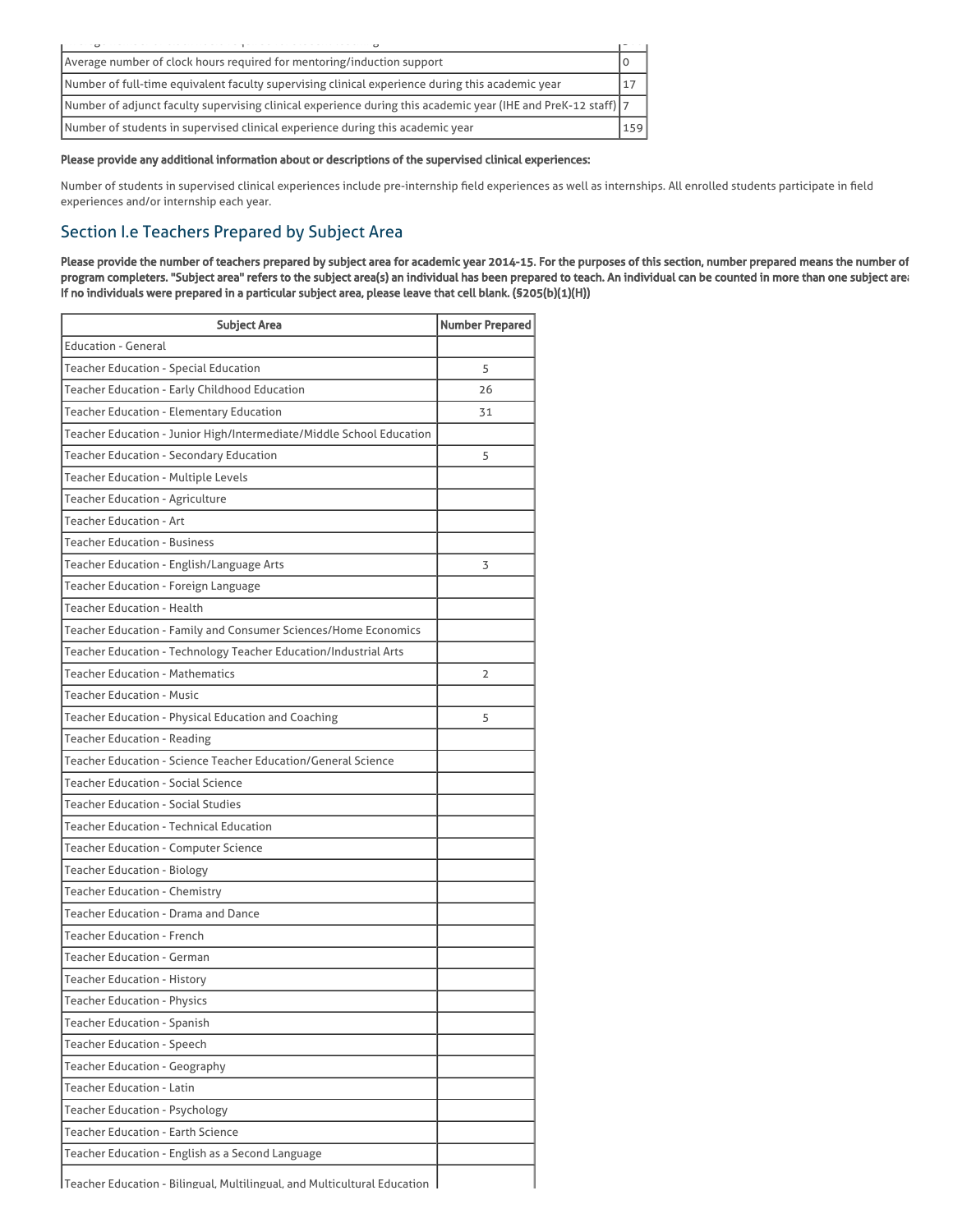| Average number of clock hours required for mentoring/induction support                                         |     |
|----------------------------------------------------------------------------------------------------------------|-----|
| Number of full-time equivalent faculty supervising clinical experience during this academic year               | 17  |
| Number of adjunct faculty supervising clinical experience during this academic year (IHE and PreK-12 staff)  7 |     |
| Number of students in supervised clinical experience during this academic year                                 | 159 |

#### Please provide any additional information about or descriptions of the supervised clinical experiences:

Number of students in supervised clinical experiences include pre-internship field experiences as well as internships. All enrolled students participate in field experiences and/or internship each year.

# Section I.e Teachers Prepared by Subject Area

Please provide the number of teachers prepared by subject area for academic year 2014-15. For the purposes of this section, number prepared means the number of program completers. "Subject area" refers to the subject area(s) an individual has been prepared to teach. An individual can be counted in more than one subject area. If no individuals were prepared in a particular subject area, please leave that cell blank. (§205(b)(1)(H))

| <b>Subject Area</b>                                                      | <b>Number Prepared</b> |
|--------------------------------------------------------------------------|------------------------|
| <b>Education - General</b>                                               |                        |
| <b>Teacher Education - Special Education</b>                             | 5                      |
| Teacher Education - Early Childhood Education                            | 26                     |
| <b>Teacher Education - Elementary Education</b>                          | 31                     |
| Teacher Education - Junior High/Intermediate/Middle School Education     |                        |
| Teacher Education - Secondary Education                                  | 5                      |
| <b>Teacher Education - Multiple Levels</b>                               |                        |
| Teacher Education - Agriculture                                          |                        |
| <b>Teacher Education - Art</b>                                           |                        |
| <b>Teacher Education - Business</b>                                      |                        |
| Teacher Education - English/Language Arts                                | 3                      |
| Teacher Education - Foreign Language                                     |                        |
| <b>Teacher Education - Health</b>                                        |                        |
| Teacher Education - Family and Consumer Sciences/Home Economics          |                        |
| Teacher Education - Technology Teacher Education/Industrial Arts         |                        |
| <b>Teacher Education - Mathematics</b>                                   | $\overline{2}$         |
| <b>Teacher Education - Music</b>                                         |                        |
| Teacher Education - Physical Education and Coaching                      | 5                      |
| <b>Teacher Education - Reading</b>                                       |                        |
| Teacher Education - Science Teacher Education/General Science            |                        |
| <b>Teacher Education - Social Science</b>                                |                        |
| <b>Teacher Education - Social Studies</b>                                |                        |
| Teacher Education - Technical Education                                  |                        |
| <b>Teacher Education - Computer Science</b>                              |                        |
| <b>Teacher Education - Biology</b>                                       |                        |
| Teacher Education - Chemistry                                            |                        |
| Teacher Education - Drama and Dance                                      |                        |
| <b>Teacher Education - French</b>                                        |                        |
| <b>Teacher Education - German</b>                                        |                        |
| <b>Teacher Education - History</b>                                       |                        |
| <b>Teacher Education - Physics</b>                                       |                        |
| <b>Teacher Education - Spanish</b>                                       |                        |
| <b>Teacher Education - Speech</b>                                        |                        |
| <b>Teacher Education - Geography</b>                                     |                        |
| <b>Teacher Education - Latin</b>                                         |                        |
| <b>Teacher Education - Psychology</b>                                    |                        |
| <b>Teacher Education - Earth Science</b>                                 |                        |
| Teacher Education - English as a Second Language                         |                        |
| Teacher Education - Bilingual, Multilingual, and Multicultural Education |                        |

Teacher Education - Bilingual, Multilingual, and Multicultural Education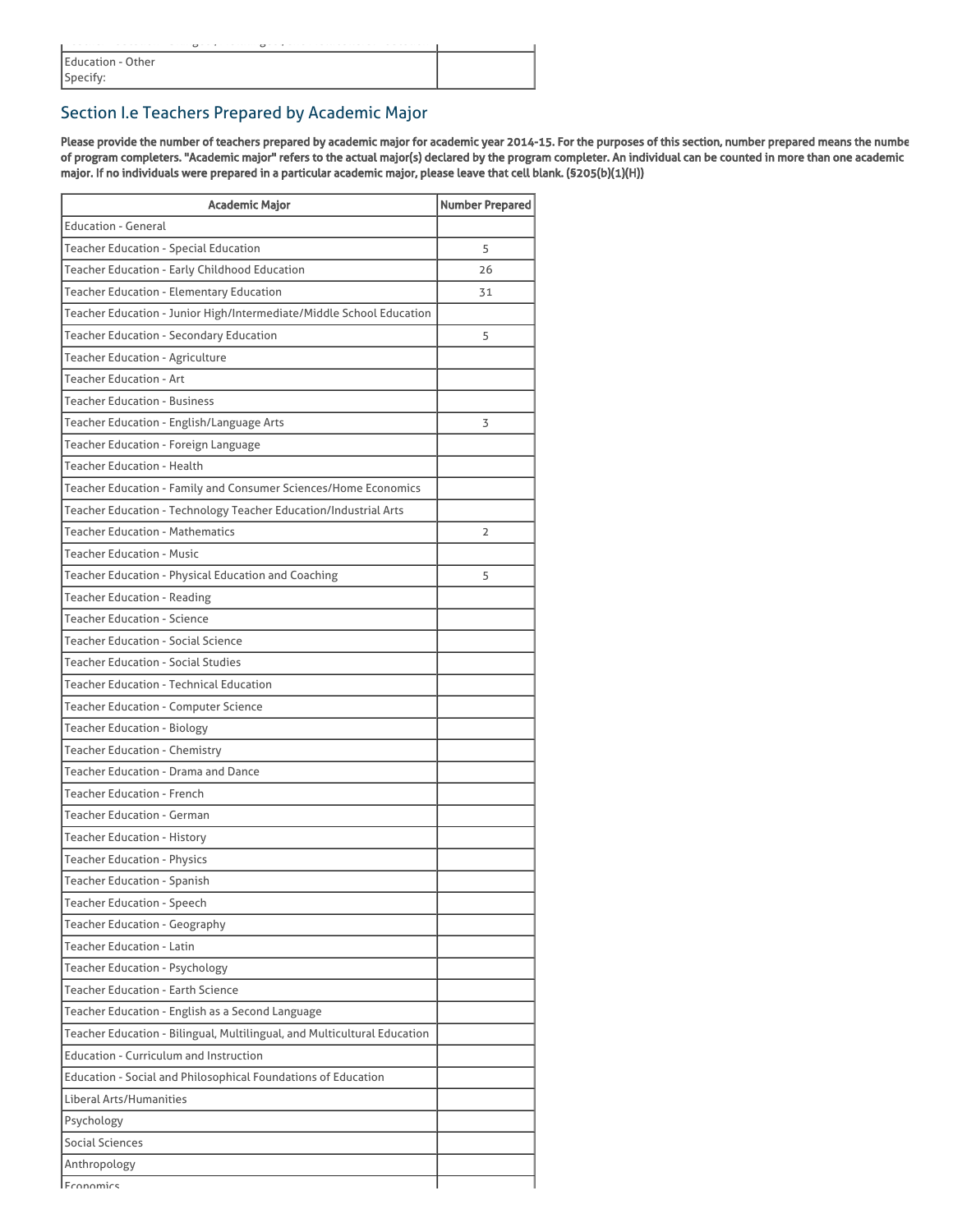|                   | $\overline{a}$ | $\overline{a}$ |  |  |
|-------------------|----------------|----------------|--|--|
| Education - Other |                |                |  |  |
| Specify:          |                |                |  |  |

# Section I.e Teachers Prepared by Academic Major

Please provide the number of teachers prepared by academic major for academic year 2014-15. For the purposes of this section, number prepared means the numbe of program completers. "Academic major" refers to the actual major(s) declared by the program completer. An individual can be counted in more than one academic major. If no individuals were prepared in a particular academic major, please leave that cell blank. (§205(b)(1)(H))

| Academic Major                                                           | <b>Number Prepared</b> |
|--------------------------------------------------------------------------|------------------------|
| <b>Education - General</b>                                               |                        |
| Teacher Education - Special Education                                    | 5                      |
| Teacher Education - Early Childhood Education                            | 26                     |
| Teacher Education - Elementary Education                                 | 31                     |
| Teacher Education - Junior High/Intermediate/Middle School Education     |                        |
| Teacher Education - Secondary Education                                  | 5                      |
| <b>Teacher Education - Agriculture</b>                                   |                        |
| <b>Teacher Education - Art</b>                                           |                        |
| <b>Teacher Education - Business</b>                                      |                        |
| Teacher Education - English/Language Arts                                | 3                      |
| Teacher Education - Foreign Language                                     |                        |
| <b>Teacher Education - Health</b>                                        |                        |
| Teacher Education - Family and Consumer Sciences/Home Economics          |                        |
| Teacher Education - Technology Teacher Education/Industrial Arts         |                        |
| <b>Teacher Education - Mathematics</b>                                   | 2                      |
| <b>Teacher Education - Music</b>                                         |                        |
| Teacher Education - Physical Education and Coaching                      | 5                      |
| <b>Teacher Education - Reading</b>                                       |                        |
| <b>Teacher Education - Science</b>                                       |                        |
| <b>Teacher Education - Social Science</b>                                |                        |
| <b>Teacher Education - Social Studies</b>                                |                        |
| <b>Teacher Education - Technical Education</b>                           |                        |
| <b>Teacher Education - Computer Science</b>                              |                        |
| <b>Teacher Education - Biology</b>                                       |                        |
| Teacher Education - Chemistry                                            |                        |
| Teacher Education - Drama and Dance                                      |                        |
| <b>Teacher Education - French</b>                                        |                        |
| <b>Teacher Education - German</b>                                        |                        |
| <b>Teacher Education - History</b>                                       |                        |
| <b>Teacher Education - Physics</b>                                       |                        |
| <b>Teacher Education - Spanish</b>                                       |                        |
| <b>Teacher Education - Speech</b>                                        |                        |
| <b>Teacher Education - Geography</b>                                     |                        |
| <b>Teacher Education - Latin</b>                                         |                        |
| <b>Teacher Education - Psychology</b>                                    |                        |
| <b>Teacher Education - Earth Science</b>                                 |                        |
| Teacher Education - English as a Second Language                         |                        |
| Teacher Education - Bilingual, Multilingual, and Multicultural Education |                        |
| Education - Curriculum and Instruction                                   |                        |
| Education - Social and Philosophical Foundations of Education            |                        |
| Liberal Arts/Humanities                                                  |                        |
| Psychology                                                               |                        |
| Social Sciences                                                          |                        |
| Anthropology                                                             |                        |
| Fronomics                                                                |                        |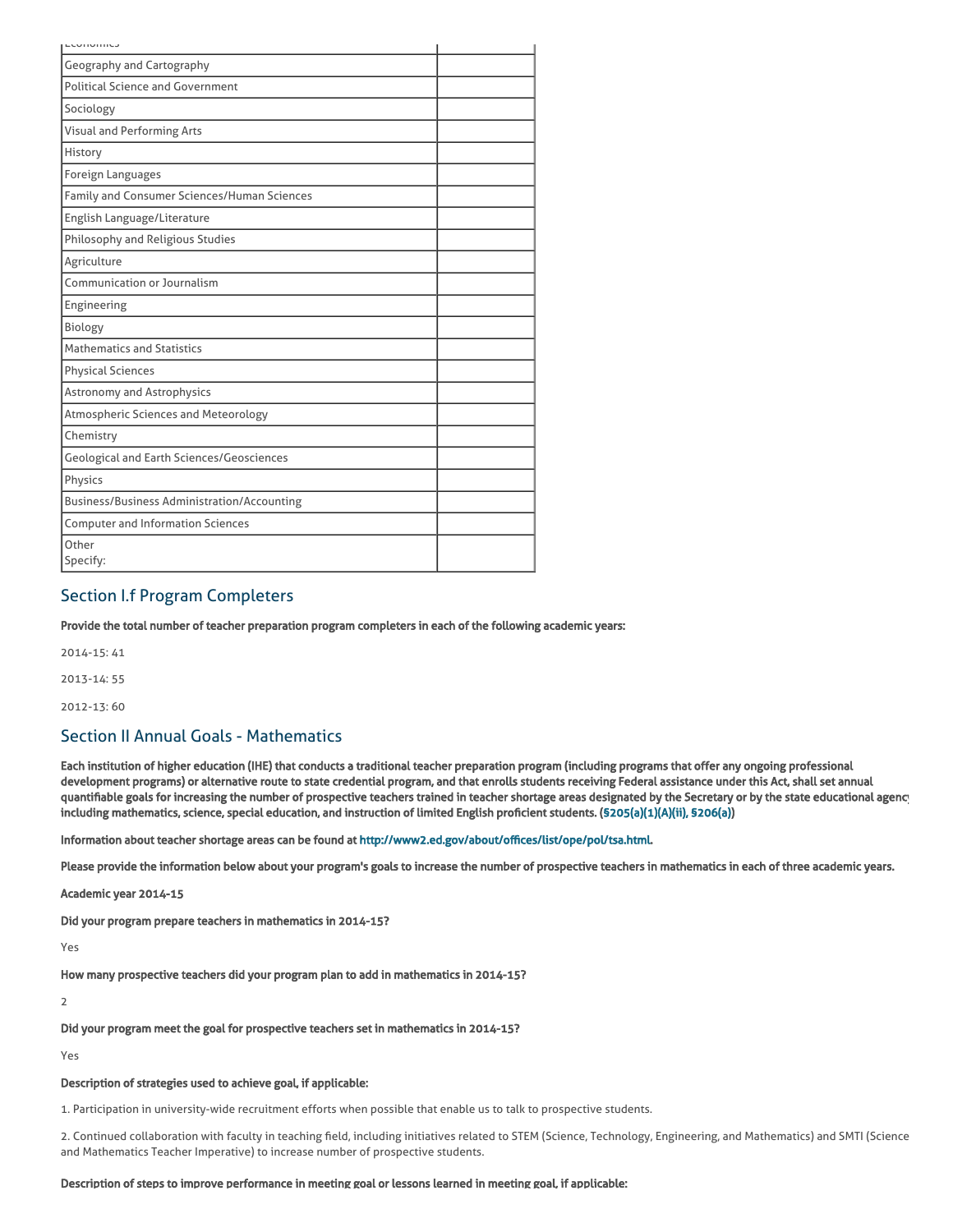| - Cononne                                          |  |
|----------------------------------------------------|--|
| <b>Geography and Cartography</b>                   |  |
| <b>Political Science and Government</b>            |  |
| Sociology                                          |  |
| <b>Visual and Performing Arts</b>                  |  |
| History                                            |  |
| Foreign Languages                                  |  |
| Family and Consumer Sciences/Human Sciences        |  |
| English Language/Literature                        |  |
| Philosophy and Religious Studies                   |  |
| Agriculture                                        |  |
| Communication or Journalism                        |  |
| Engineering                                        |  |
| Biology                                            |  |
| <b>Mathematics and Statistics</b>                  |  |
| <b>Physical Sciences</b>                           |  |
| <b>Astronomy and Astrophysics</b>                  |  |
| Atmospheric Sciences and Meteorology               |  |
| Chemistry                                          |  |
| Geological and Earth Sciences/Geosciences          |  |
| Physics                                            |  |
| <b>Business/Business Administration/Accounting</b> |  |
| <b>Computer and Information Sciences</b>           |  |
| Other<br>Specify:                                  |  |

## Section I.f Program Completers

Provide the total number of teacher preparation program completers in each of the following academic years:

2014-15: 41 2013-14: 55

2012-13: 60

### Section II Annual Goals - Mathematics

Each institution of higher education (IHE) that conducts a traditional teacher preparation program (including programs that offer any ongoing professional development programs) or alternative route to state credential program, and that enrolls students receiving Federal assistance under this Act, shall set annual quantifiable goals for increasing the number of prospective teachers trained in teacher shortage areas designated by the Secretary or by the state educational agency including mathematics, science, special education, and instruction of limited English proficient students. ([§205\(a\)\(1\)\(A\)\(ii\), §206\(a\)\)](http://frwebgate.access.gpo.gov/cgi-bin/getdoc.cgi?dbname=110_cong_public_laws&docid=f:publ315.110.pdf)

Information about teacher shortage areas can be found at [http://www2.ed.gov/about/offices/list/ope/pol/tsa.html.](http://www2.ed.gov/about/offices/list/ope/pol/tsa.html)

Please provide the information below about your program's goals to increase the number of prospective teachers in mathematics in each of three academic years.

Academic year 2014-15

Did your program prepare teachers in mathematics in 2014-15?

Yes

How many prospective teachers did your program plan to add in mathematics in 2014-15?

2

Did your program meet the goal for prospective teachers set in mathematics in 2014-15?

Yes

#### Description of strategies used to achieve goal, if applicable:

1. Participation in university-wide recruitment efforts when possible that enable us to talk to prospective students.

2. Continued collaboration with faculty in teaching field, including initiatives related to STEM (Science, Technology, Engineering, and Mathematics) and SMTI (Science and Mathematics Teacher Imperative) to increase number of prospective students.

#### Description of steps to improve performance in meeting goal or lessons learned in meeting goal, if applicable: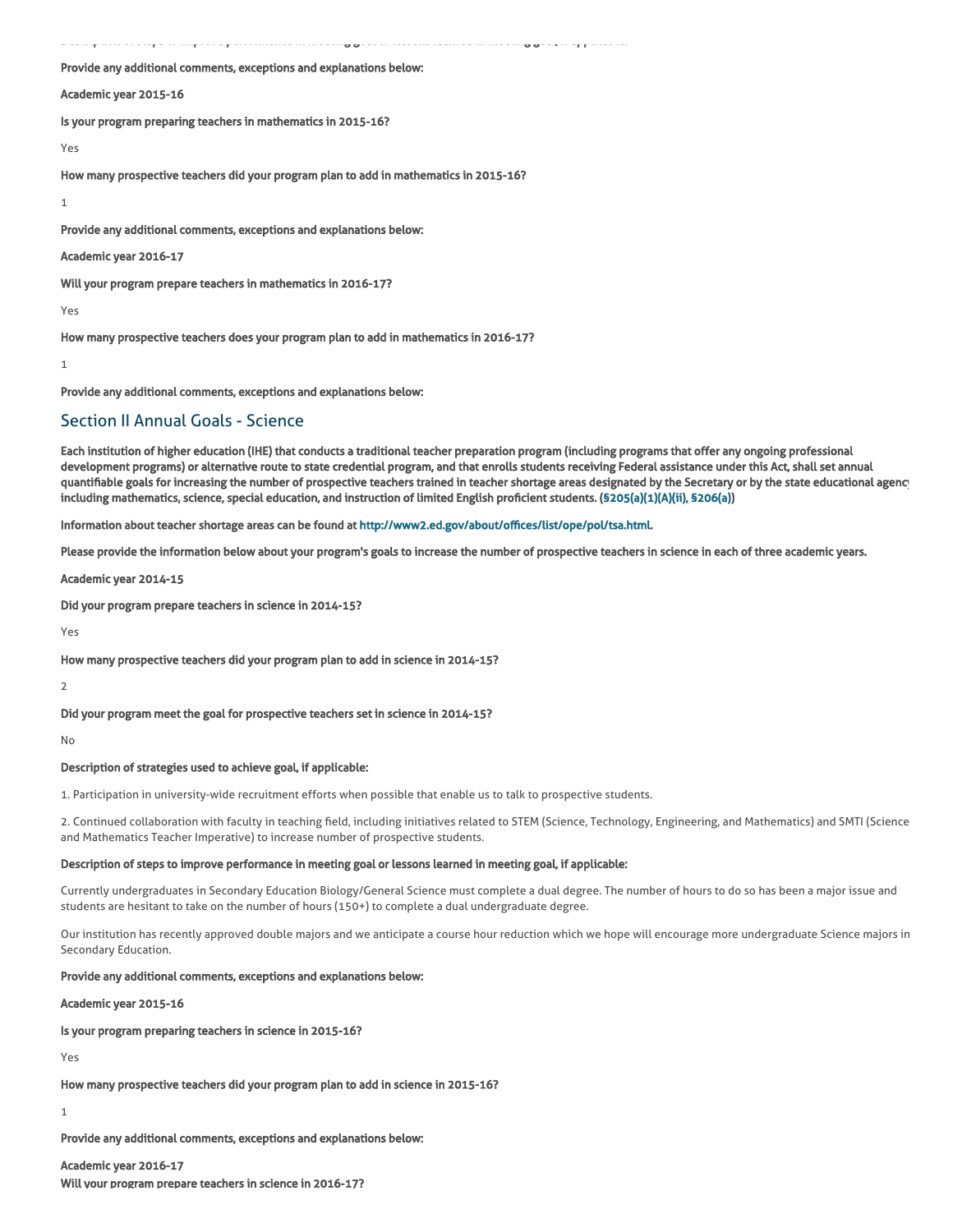Description of steps to improve performance in meeting goal or lessons learned in meeting goal, if applicable:

#### Provide any additional comments, exceptions and explanations below:

#### Academic year 2015-16

Is your program preparing teachers in mathematics in 2015-16?

#### Yes

How many prospective teachers did your program plan to add in mathematics in 2015-16?

1

Provide any additional comments, exceptions and explanations below:

Academic year 2016-17

Will your program prepare teachers in mathematics in 2016-17?

Yes

How many prospective teachers does your program plan to add in mathematics in 2016-17?

1

Provide any additional comments, exceptions and explanations below:

### Section II Annual Goals - Science

Each institution of higher education (IHE) that conducts a traditional teacher preparation program (including programs that offer any ongoing professional development programs) or alternative route to state credential program, and that enrolls students receiving Federal assistance under this Act, shall set annual quantifiable goals for increasing the number of prospective teachers trained in teacher shortage areas designated by the Secretary or by the state educational agency including mathematics, science, special education, and instruction of limited English proficient students. ([§205\(a\)\(1\)\(A\)\(ii\), §206\(a\)\)](http://frwebgate.access.gpo.gov/cgi-bin/getdoc.cgi?dbname=110_cong_public_laws&docid=f:publ315.110.pdf)

Information about teacher shortage areas can be found at [http://www2.ed.gov/about/offices/list/ope/pol/tsa.html.](http://www2.ed.gov/about/offices/list/ope/pol/tsa.html)

Please provide the information below about your program's goals to increase the number of prospective teachers in science in each of three academic years.

Academic year 2014-15

Did your program prepare teachers in science in 2014-15?

Yes

How many prospective teachers did your program plan to add in science in 2014-15?

2

Did your program meet the goal for prospective teachers set in science in 2014-15?

No

#### Description of strategies used to achieve goal, if applicable:

1. Participation in university-wide recruitment efforts when possible that enable us to talk to prospective students.

2. Continued collaboration with faculty in teaching field, including initiatives related to STEM (Science, Technology, Engineering, and Mathematics) and SMTI (Science and Mathematics Teacher Imperative) to increase number of prospective students.

#### Description of steps to improve performance in meeting goal or lessons learned in meeting goal, if applicable:

Currently undergraduates in Secondary Education Biology/General Science must complete a dual degree. The number of hours to do so has been a major issue and students are hesitant to take on the number of hours (150+) to complete a dual undergraduate degree.

Our institution has recently approved double majors and we anticipate a course hour reduction which we hope will encourage more undergraduate Science majors in Secondary Education.

#### Provide any additional comments, exceptions and explanations below:

Academic year 2015-16

Is your program preparing teachers in science in 2015-16?

Yes

How many prospective teachers did your program plan to add in science in 2015-16?

#### 1

Provide any additional comments, exceptions and explanations below:

#### Academic year 2016-17

Will your program prepare teachers in science in 2016-17?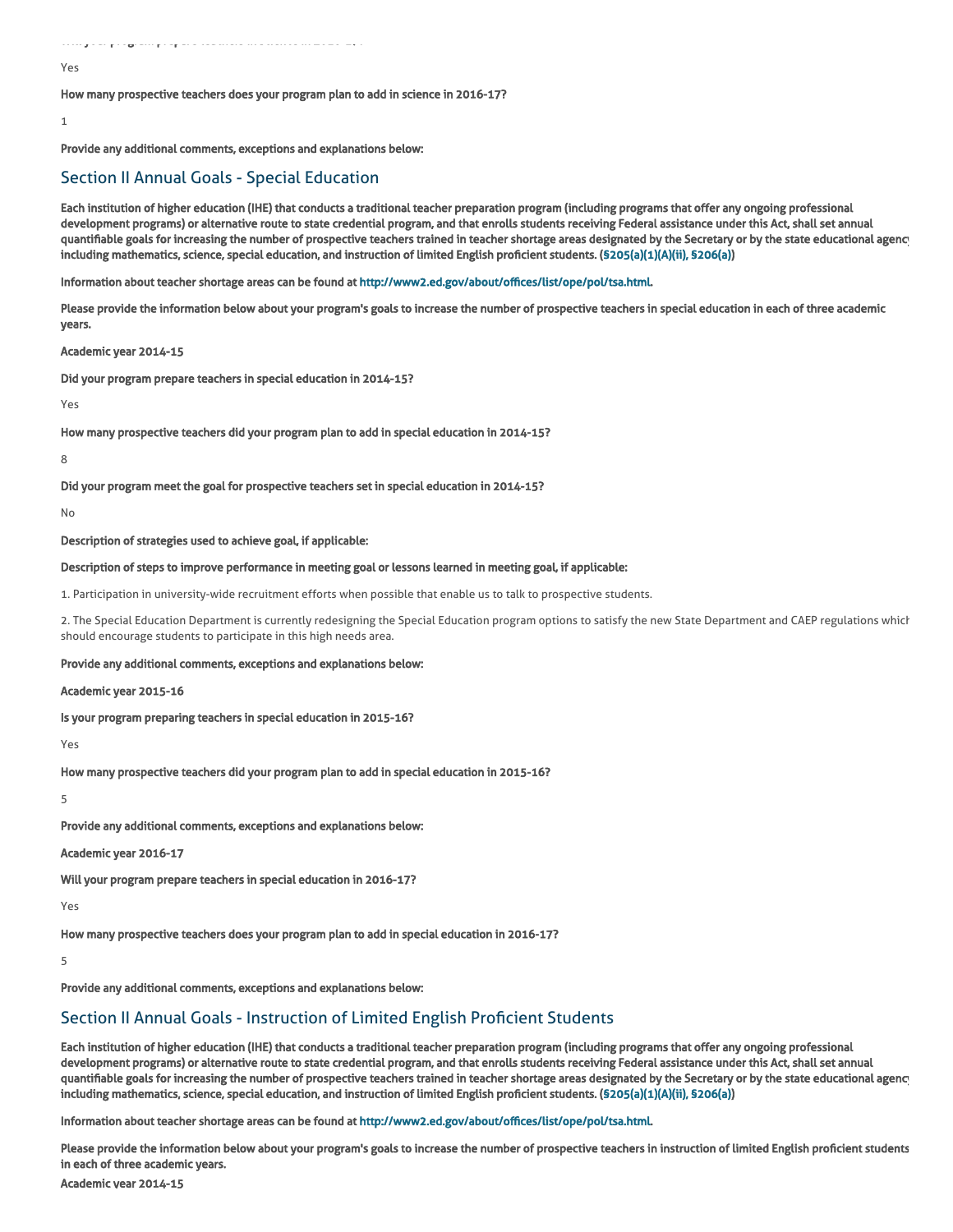#### Yes

How many prospective teachers does your program plan to add in science in 2016-17?

#### 1

Provide any additional comments, exceptions and explanations below:

### Section II Annual Goals - Special Education

Each institution of higher education (IHE) that conducts a traditional teacher preparation program (including programs that offer any ongoing professional development programs) or alternative route to state credential program, and that enrolls students receiving Federal assistance under this Act, shall set annual quantifiable goals for increasing the number of prospective teachers trained in teacher shortage areas designated by the Secretary or by the state educational agency including mathematics, science, special education, and instruction of limited English proficient students. ([§205\(a\)\(1\)\(A\)\(ii\), §206\(a\)\)](http://frwebgate.access.gpo.gov/cgi-bin/getdoc.cgi?dbname=110_cong_public_laws&docid=f:publ315.110.pdf)

Information about teacher shortage areas can be found at [http://www2.ed.gov/about/offices/list/ope/pol/tsa.html.](http://www2.ed.gov/about/offices/list/ope/pol/tsa.html)

Please provide the information below about your program's goals to increase the number of prospective teachers in special education in each of three academic years.

#### Academic year 2014-15

Did your program prepare teachers in special education in 2014-15?

Yes

How many prospective teachers did your program plan to add in special education in 2014-15?

8

#### Did your program meet the goal for prospective teachers set in special education in 2014-15?

No

Description of strategies used to achieve goal, if applicable:

#### Description of steps to improve performance in meeting goal or lessons learned in meeting goal, if applicable:

1. Participation in university-wide recruitment efforts when possible that enable us to talk to prospective students.

2. The Special Education Department is currently redesigning the Special Education program options to satisfy the new State Department and CAEP regulations which should encourage students to participate in this high needs area.

#### Provide any additional comments, exceptions and explanations below:

Academic year 2015-16

Is your program preparing teachers in special education in 2015-16?

Yes

How many prospective teachers did your program plan to add in special education in 2015-16?

5

Provide any additional comments, exceptions and explanations below:

#### Academic year 2016-17

Will your program prepare teachers in special education in 2016-17?

Yes

How many prospective teachers does your program plan to add in special education in 2016-17?

5

Provide any additional comments, exceptions and explanations below:

### Section II Annual Goals - Instruction of Limited English Proficient Students

Each institution of higher education (IHE) that conducts a traditional teacher preparation program (including programs that offer any ongoing professional development programs) or alternative route to state credential program, and that enrolls students receiving Federal assistance under this Act, shall set annual quantifiable goals for increasing the number of prospective teachers trained in teacher shortage areas designated by the Secretary or by the state educational agency including mathematics, science, special education, and instruction of limited English proficient students. ([§205\(a\)\(1\)\(A\)\(ii\), §206\(a\)\)](http://frwebgate.access.gpo.gov/cgi-bin/getdoc.cgi?dbname=110_cong_public_laws&docid=f:publ315.110.pdf)

Information about teacher shortage areas can be found at [http://www2.ed.gov/about/offices/list/ope/pol/tsa.html.](http://www2.ed.gov/about/offices/list/ope/pol/tsa.html)

Please provide the information below about your program's goals to increase the number of prospective teachers in instruction of limited English proficient students in each of three academic years.

Academic year 2014-15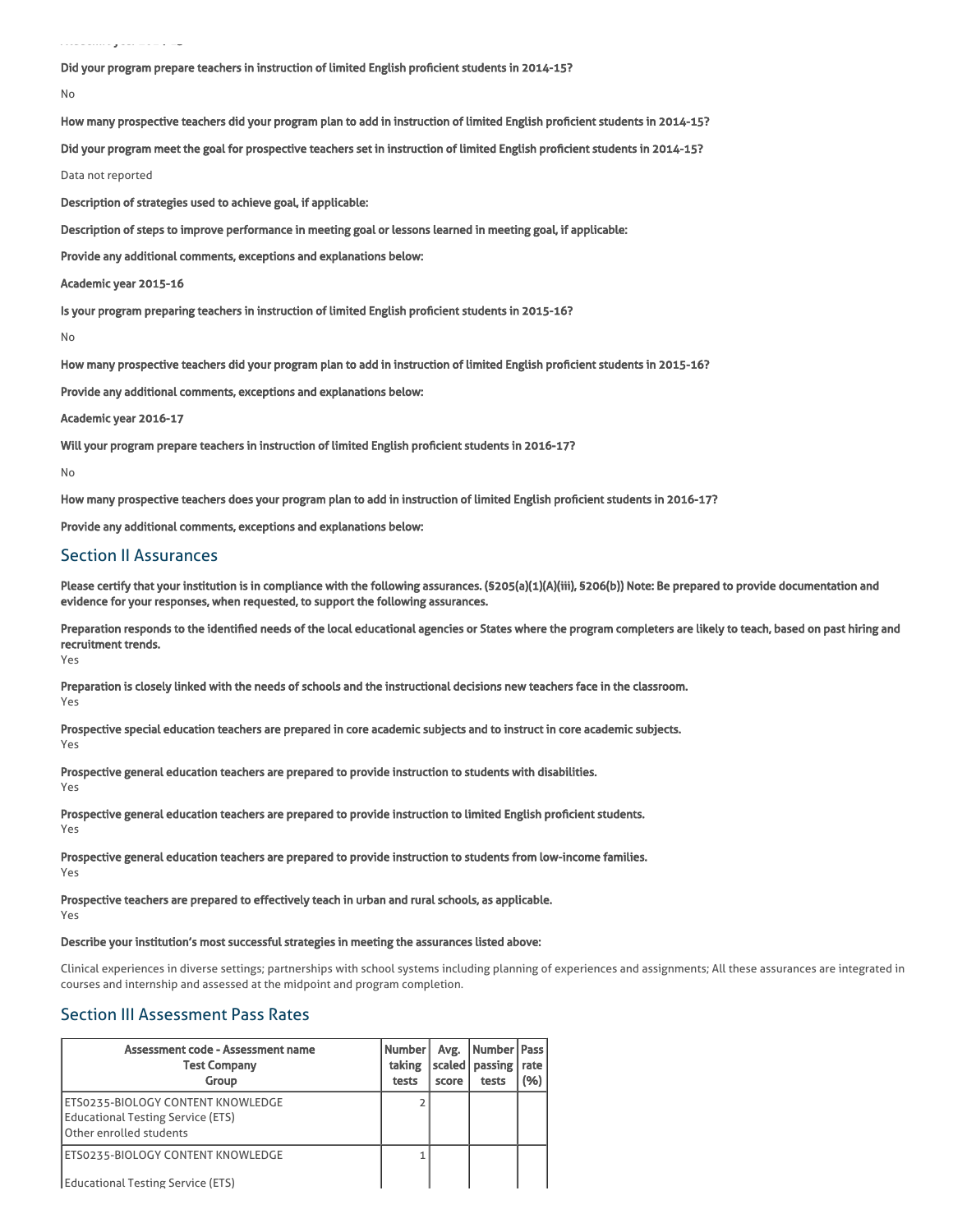Did your program prepare teachers in instruction of limited English proficient students in 2014-15?

```
No
```
How many prospective teachers did your program plan to add in instruction of limited English proficient students in 2014-15?

Did your program meet the goal for prospective teachers set in instruction of limited English proficient students in 2014-15?

Data not reported

Description of strategies used to achieve goal, if applicable:

Description of steps to improve performance in meeting goal or lessons learned in meeting goal, if applicable:

Provide any additional comments, exceptions and explanations below:

Academic year 2015-16

Is your program preparing teachers in instruction of limited English proficient students in 2015-16?

No

How many prospective teachers did your program plan to add in instruction of limited English proficient students in 2015-16?

Provide any additional comments, exceptions and explanations below:

Academic year 2016-17

Will your program prepare teachers in instruction of limited English proficient students in 2016-17?

No

How many prospective teachers does your program plan to add in instruction of limited English proficient students in 2016-17?

Provide any additional comments, exceptions and explanations below:

### Section II Assurances

Please certify that your institution is in compliance with the following assurances. (§205(a)(1)(A)(iii), §206(b)) Note: Be prepared to provide documentation and evidence for your responses, when requested, to support the following assurances.

Preparation responds to the identified needs of the local educational agencies or States where the program completers are likely to teach, based on past hiring and recruitment trends.

Yes

Preparation is closely linked with the needs of schools and the instructional decisions new teachers face in the classroom. Yes

Prospective special education teachers are prepared in core academic subjects and to instruct in core academic subjects. Yes

Prospective general education teachers are prepared to provide instruction to students with disabilities.

Yes

Prospective general education teachers are prepared to provide instruction to limited English proficient students.

Yes

Prospective general education teachers are prepared to provide instruction to students from low-income families. Yes

Prospective teachers are prepared to effectively teach in urban and rural schools, as applicable.

Yes

### Describe your institution's most successful strategies in meeting the assurances listed above:

Clinical experiences in diverse settings; partnerships with school systems including planning of experiences and assignments; All these assurances are integrated in courses and internship and assessed at the midpoint and program completion.

### Section III Assessment Pass Rates

| Assessment code - Assessment name<br><b>Test Company</b><br>Group                                        | Number<br>taking<br>tests | Avg.<br>  scaled  <br>score | Number   Pass<br>passing<br>tests | I rate<br>(%) |
|----------------------------------------------------------------------------------------------------------|---------------------------|-----------------------------|-----------------------------------|---------------|
| ETS0235-BIOLOGY CONTENT KNOWLEDGE<br><b>Educational Testing Service (ETS)</b><br>Other enrolled students |                           |                             |                                   |               |
| ETS0235-BIOLOGY CONTENT KNOWLEDGE<br><b>Educational Testing Service (ETS)</b>                            |                           |                             |                                   |               |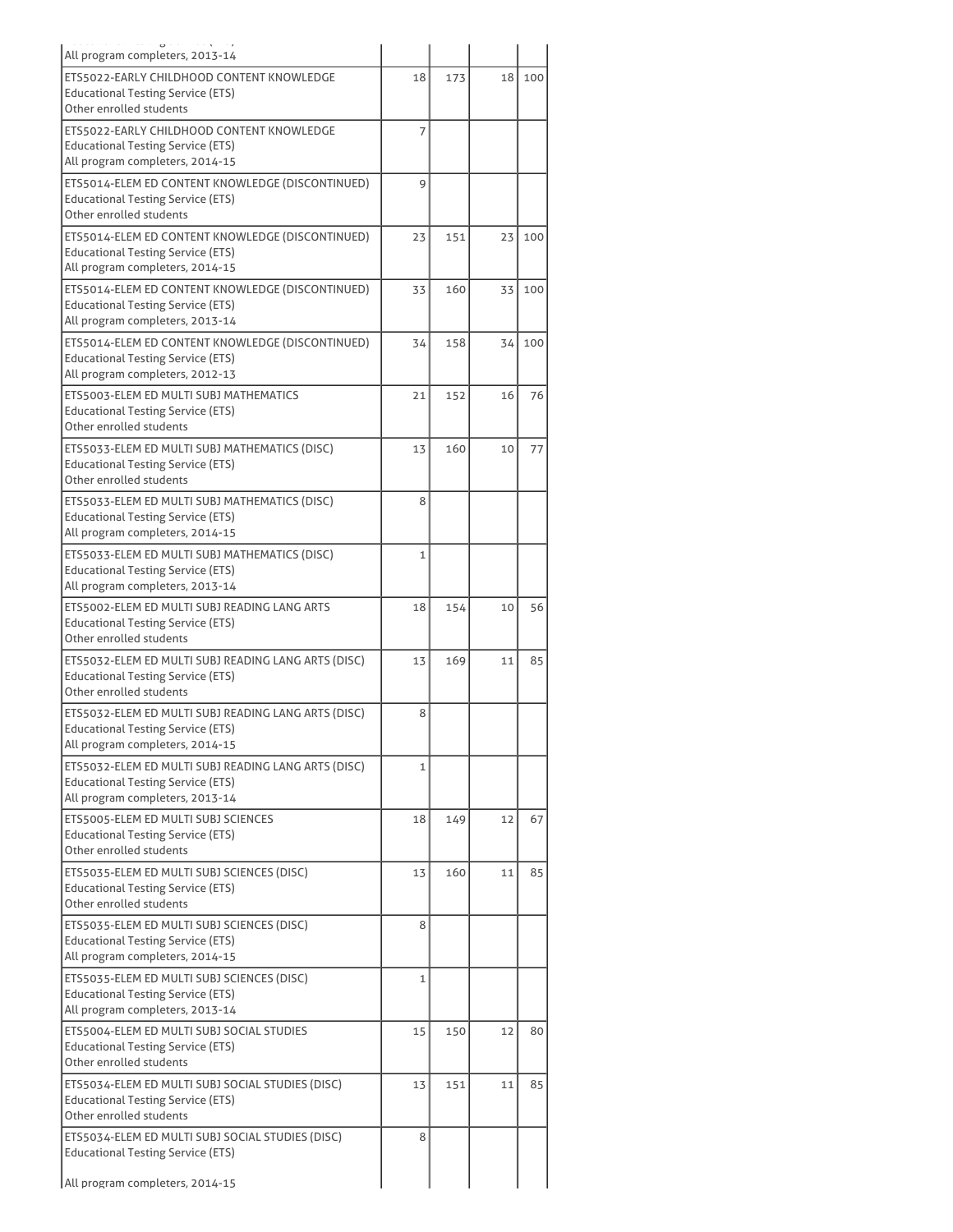| All program completers, 2013-14                                                                                                    |                |     |    |     |
|------------------------------------------------------------------------------------------------------------------------------------|----------------|-----|----|-----|
| ETS5022-EARLY CHILDHOOD CONTENT KNOWLEDGE<br><b>Educational Testing Service (ETS)</b><br>Other enrolled students                   | 18             | 173 | 18 | 100 |
| ETS5022-EARLY CHILDHOOD CONTENT KNOWLEDGE<br><b>Educational Testing Service (ETS)</b><br>All program completers, 2014-15           | 7              |     |    |     |
| ETS5014-ELEM ED CONTENT KNOWLEDGE (DISCONTINUED)<br>Educational Testing Service (ETS)<br>Other enrolled students                   | 9              |     |    |     |
| ETS5014-ELEM ED CONTENT KNOWLEDGE (DISCONTINUED)<br><b>Educational Testing Service (ETS)</b><br>All program completers, 2014-15    | 23             | 151 | 23 | 100 |
| ETS5014-ELEM ED CONTENT KNOWLEDGE (DISCONTINUED)<br><b>Educational Testing Service (ETS)</b><br>All program completers, 2013-14    | 33             | 160 | 33 | 100 |
| ETS5014-ELEM ED CONTENT KNOWLEDGE (DISCONTINUED)<br><b>Educational Testing Service (ETS)</b><br>All program completers, 2012-13    | 34             | 158 | 34 | 100 |
| ETS5003-ELEM ED MULTI SUBJ MATHEMATICS<br><b>Educational Testing Service (ETS)</b><br>Other enrolled students                      | 21             | 152 | 16 | 76  |
| ETS5033-ELEM ED MULTI SUBJ MATHEMATICS (DISC)<br><b>Educational Testing Service (ETS)</b><br>Other enrolled students               | 13             | 160 | 10 | 77  |
| ETS5033-ELEM ED MULTI SUBJ MATHEMATICS (DISC)<br><b>Educational Testing Service (ETS)</b><br>All program completers, 2014-15       | 8              |     |    |     |
| ETS5033-ELEM ED MULTI SUBJ MATHEMATICS (DISC)<br><b>Educational Testing Service (ETS)</b><br>All program completers, 2013-14       | 1              |     |    |     |
| ETS5002-ELEM ED MULTI SUBJ READING LANG ARTS<br><b>Educational Testing Service (ETS)</b><br>Other enrolled students                | 18             | 154 | 10 | 56  |
| ETS5032-ELEM ED MULTI SUBJ READING LANG ARTS (DISC)<br><b>Educational Testing Service (ETS)</b><br>Other enrolled students         | 13             | 169 | 11 | 85  |
| ETS5032-ELEM ED MULTI SUBJ READING LANG ARTS (DISC)<br><b>Educational Testing Service (ETS)</b><br>All program completers, 2014-15 | 8              |     |    |     |
| ETS5032-ELEM ED MULTI SUBJ READING LANG ARTS (DISC)<br><b>Educational Testing Service (ETS)</b><br>All program completers, 2013-14 | 1              |     |    |     |
| ETS5005-ELEM ED MULTI SUBJ SCIENCES<br><b>Educational Testing Service (ETS)</b><br>Other enrolled students                         | 18             | 149 | 12 | 67  |
| ETS5035-ELEM ED MULTI SUBJ SCIENCES (DISC)<br><b>Educational Testing Service (ETS)</b><br>Other enrolled students                  | 13             | 160 | 11 | 85  |
| ETS5035-ELEM ED MULTI SUBJ SCIENCES (DISC)<br><b>Educational Testing Service (ETS)</b><br>All program completers, 2014-15          | 8              |     |    |     |
| ETS5035-ELEM ED MULTI SUBJ SCIENCES (DISC)<br><b>Educational Testing Service (ETS)</b><br>All program completers, 2013-14          | $\overline{1}$ |     |    |     |
| ETS5004-ELEM ED MULTI SUBJ SOCIAL STUDIES<br><b>Educational Testing Service (ETS)</b><br>Other enrolled students                   | 15             | 150 | 12 | 80  |
| ETS5034-ELEM ED MULTI SUBJ SOCIAL STUDIES (DISC)<br><b>Educational Testing Service (ETS)</b><br>Other enrolled students            | 13             | 151 | 11 | 85  |
| ETS5034-ELEM ED MULTI SUBJ SOCIAL STUDIES (DISC)<br><b>Educational Testing Service (ETS)</b>                                       | 8              |     |    |     |
| All program completers, 2014-15                                                                                                    |                |     |    |     |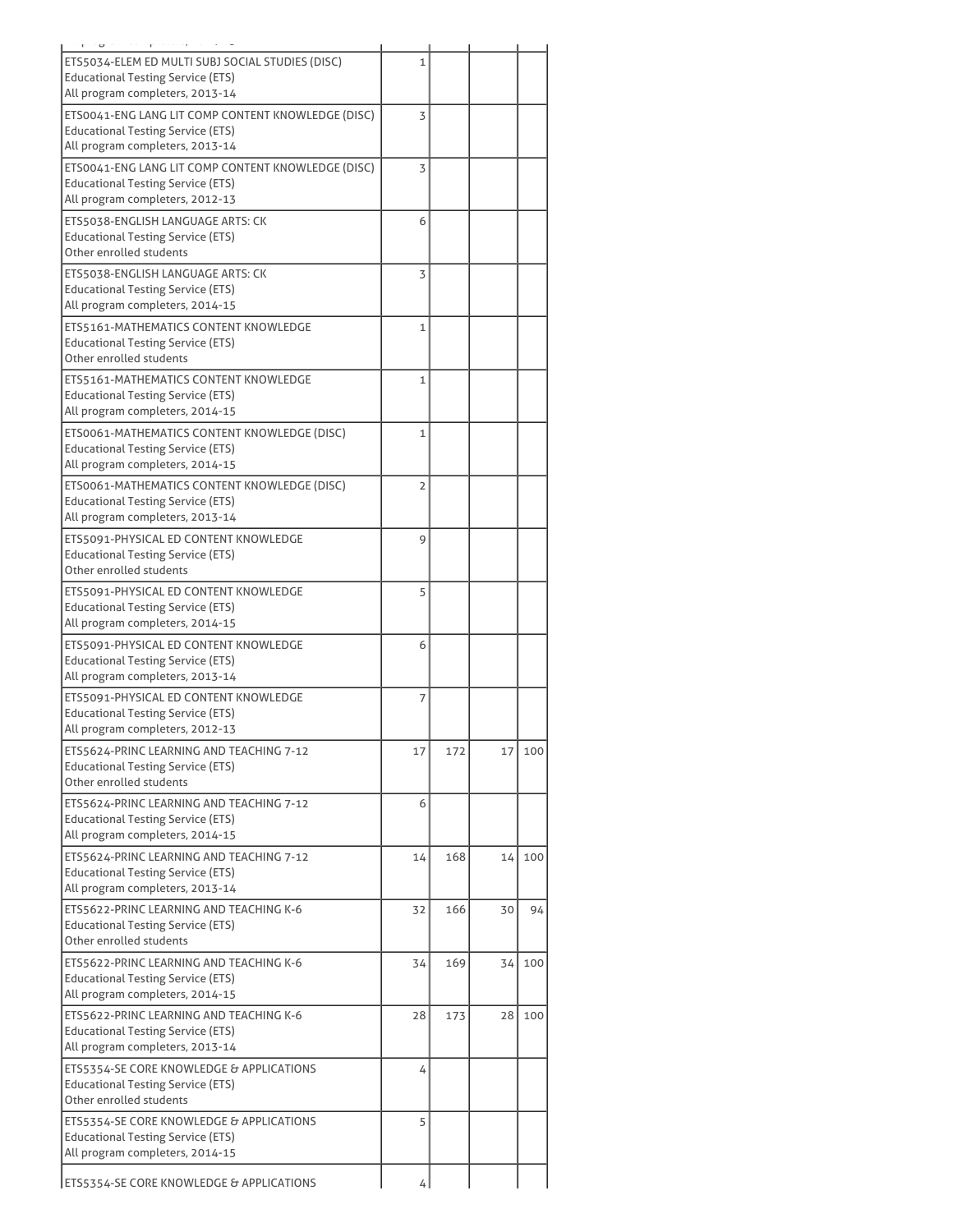| $\sim$                                                                                                                            |                |     |    |     |
|-----------------------------------------------------------------------------------------------------------------------------------|----------------|-----|----|-----|
| ETS5034-ELEM ED MULTI SUBJ SOCIAL STUDIES (DISC)<br><b>Educational Testing Service (ETS)</b>                                      | 1              |     |    |     |
| All program completers, 2013-14<br>ETS0041-ENG LANG LIT COMP CONTENT KNOWLEDGE (DISC)                                             | 3              |     |    |     |
| <b>Educational Testing Service (ETS)</b><br>All program completers, 2013-14                                                       |                |     |    |     |
| ETS0041-ENG LANG LIT COMP CONTENT KNOWLEDGE (DISC)<br><b>Educational Testing Service (ETS)</b><br>All program completers, 2012-13 | 3              |     |    |     |
| ETS5038-ENGLISH LANGUAGE ARTS: CK<br><b>Educational Testing Service (ETS)</b><br>Other enrolled students                          | 6              |     |    |     |
| ETS5038-ENGLISH LANGUAGE ARTS: CK<br><b>Educational Testing Service (ETS)</b><br>All program completers, 2014-15                  | 3              |     |    |     |
| ETS5161-MATHEMATICS CONTENT KNOWLEDGE<br><b>Educational Testing Service (ETS)</b><br>Other enrolled students                      | $\mathbf{1}$   |     |    |     |
| ETS5161-MATHEMATICS CONTENT KNOWLEDGE<br><b>Educational Testing Service (ETS)</b><br>All program completers, 2014-15              | $\mathbf{1}$   |     |    |     |
| ETS0061-MATHEMATICS CONTENT KNOWLEDGE (DISC)<br><b>Educational Testing Service (ETS)</b><br>All program completers, 2014-15       | 1              |     |    |     |
| ETS0061-MATHEMATICS CONTENT KNOWLEDGE (DISC)<br><b>Educational Testing Service (ETS)</b><br>All program completers, 2013-14       | $\overline{2}$ |     |    |     |
| ETS5091-PHYSICAL ED CONTENT KNOWLEDGE<br><b>Educational Testing Service (ETS)</b><br>Other enrolled students                      | 9              |     |    |     |
| ETS5091-PHYSICAL ED CONTENT KNOWLEDGE<br><b>Educational Testing Service (ETS)</b><br>All program completers, 2014-15              | 5              |     |    |     |
| ETS5091-PHYSICAL ED CONTENT KNOWLEDGE<br><b>Educational Testing Service (ETS)</b><br>All program completers, 2013-14              | 6              |     |    |     |
| ETS5091-PHYSICAL ED CONTENT KNOWLEDGE<br><b>Educational Testing Service (ETS)</b><br>All program completers, 2012-13              | 7              |     |    |     |
| ETS5624-PRINC LEARNING AND TEACHING 7-12<br><b>Educational Testing Service (ETS)</b><br>Other enrolled students                   | 17             | 172 | 17 | 100 |
| ETS5624-PRINC LEARNING AND TEACHING 7-12<br>Educational Testing Service (ETS)<br>All program completers, 2014-15                  | 6              |     |    |     |
| ETS5624-PRINC LEARNING AND TEACHING 7-12<br><b>Educational Testing Service (ETS)</b><br>All program completers, 2013-14           | 14             | 168 | 14 | 100 |
| ETS5622-PRINC LEARNING AND TEACHING K-6<br><b>Educational Testing Service (ETS)</b><br>Other enrolled students                    | 32             | 166 | 30 | 94  |
| ETS5622-PRINC LEARNING AND TEACHING K-6<br><b>Educational Testing Service (ETS)</b><br>All program completers, 2014-15            | 34             | 169 | 34 | 100 |
| ETS5622-PRINC LEARNING AND TEACHING K-6<br><b>Educational Testing Service (ETS)</b><br>All program completers, 2013-14            | 28             | 173 | 28 | 100 |
| ETS5354-SE CORE KNOWLEDGE & APPLICATIONS<br><b>Educational Testing Service (ETS)</b><br>Other enrolled students                   | 4              |     |    |     |
| ETS5354-SE CORE KNOWLEDGE & APPLICATIONS<br><b>Educational Testing Service (ETS)</b><br>All program completers, 2014-15           | 5              |     |    |     |
| <b>ETS5354-SE CORE KNOWLEDGE &amp; APPLICATIONS</b>                                                                               | 4              |     |    |     |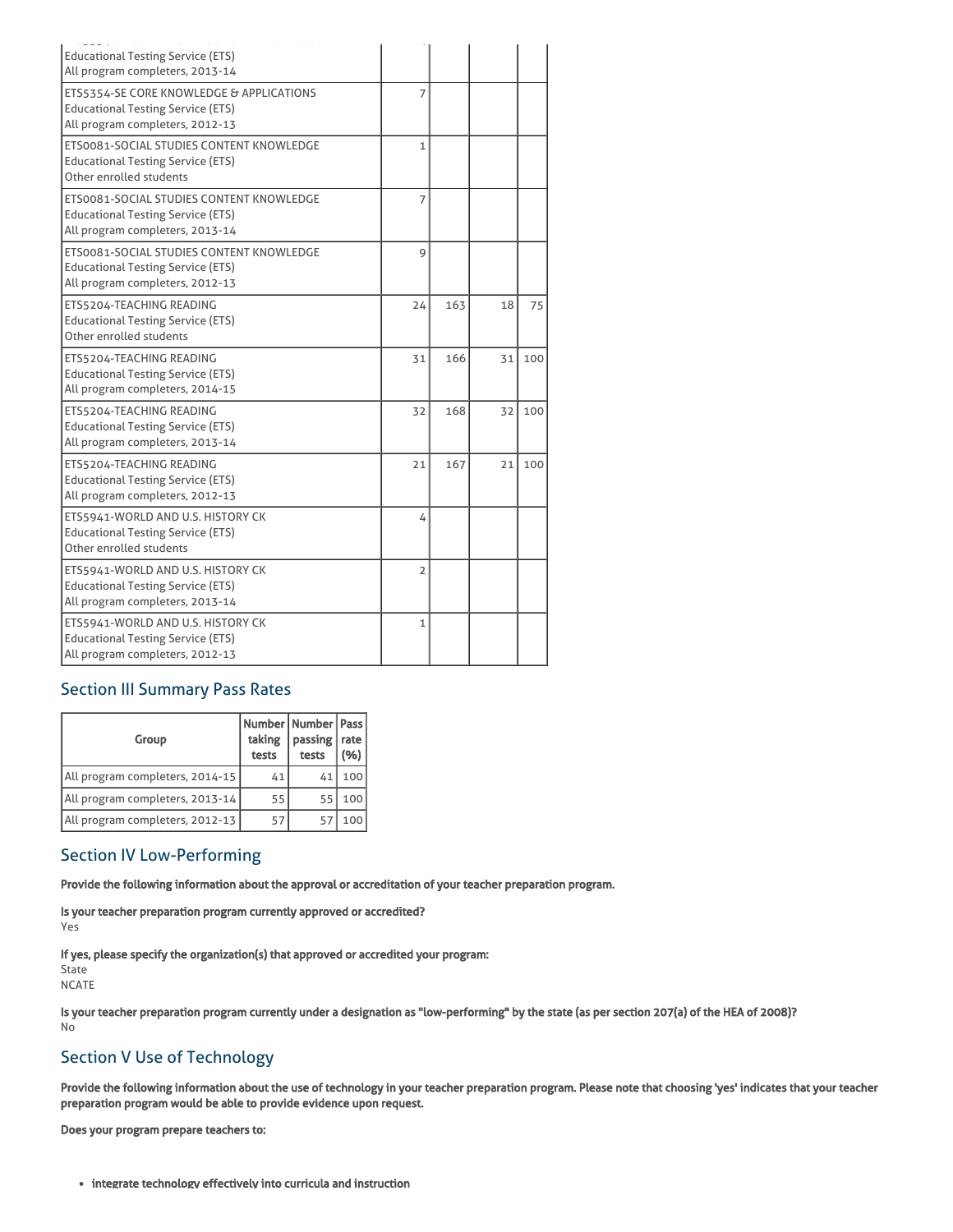| <b>Educational Testing Service (ETS)</b><br>All program completers, 2013-14                                             |                |     |    |     |
|-------------------------------------------------------------------------------------------------------------------------|----------------|-----|----|-----|
| ETS5354-SE CORE KNOWLEDGE & APPLICATIONS<br><b>Educational Testing Service (ETS)</b><br>All program completers, 2012-13 | $\overline{7}$ |     |    |     |
| ETS0081-SOCIAL STUDIES CONTENT KNOWLEDGE<br><b>Educational Testing Service (ETS)</b><br>Other enrolled students         | $\mathbf{1}$   |     |    |     |
| ETS0081-SOCIAL STUDIES CONTENT KNOWLEDGE<br><b>Educational Testing Service (ETS)</b><br>All program completers, 2013-14 | $\overline{7}$ |     |    |     |
| ETS0081-SOCIAL STUDIES CONTENT KNOWLEDGE<br><b>Educational Testing Service (ETS)</b><br>All program completers, 2012-13 | 9              |     |    |     |
| ETS5204-TEACHING READING<br><b>Educational Testing Service (ETS)</b><br>Other enrolled students                         | 24             | 163 | 18 | 75  |
| ETS5204-TEACHING READING<br><b>Educational Testing Service (ETS)</b><br>All program completers, 2014-15                 | 31             | 166 | 31 | 100 |
| ETS5204-TEACHING READING<br><b>Educational Testing Service (ETS)</b><br>All program completers, 2013-14                 | 32             | 168 | 32 | 100 |
| ETS5204-TEACHING READING<br><b>Educational Testing Service (ETS)</b><br>All program completers, 2012-13                 | 21             | 167 | 21 | 100 |
| ETS5941-WORLD AND U.S. HISTORY CK<br><b>Educational Testing Service (ETS)</b><br>Other enrolled students                | 4              |     |    |     |
| ETS5941-WORLD AND U.S. HISTORY CK<br><b>Educational Testing Service (ETS)</b><br>All program completers, 2013-14        | $\overline{2}$ |     |    |     |
| ETS5941-WORLD AND U.S. HISTORY CK<br><b>Educational Testing Service (ETS)</b><br>All program completers, 2012-13        | $\mathbf{1}$   |     |    |     |

# Section III Summary Pass Rates

| Group                           | Number   Number   Pass  <br>taking<br>tests | passing  <br>tests | rate<br>(%) |
|---------------------------------|---------------------------------------------|--------------------|-------------|
| All program completers, 2014-15 | 41                                          | 41                 | 100         |
| All program completers, 2013-14 | 55                                          | 55                 | 100         |
| All program completers, 2012-13 | 57                                          | 57                 | 100         |

# Section IV Low-Performing

Provide the following information about the approval or accreditation of your teacher preparation program.

Is your teacher preparation program currently approved or accredited?

Yes

If yes, please specify the organization(s) that approved or accredited your program:

State

NCATE

Is your teacher preparation program currently under a designation as "low-performing" by the state (as per section 207(a) of the HEA of 2008)? No

# Section V Use of Technology

Provide the following information about the use of technology in your teacher preparation program. Please note that choosing 'yes' indicates that your teacher preparation program would be able to provide evidence upon request.

Does your program prepare teachers to:

integrate technology effectively into curricula and instruction